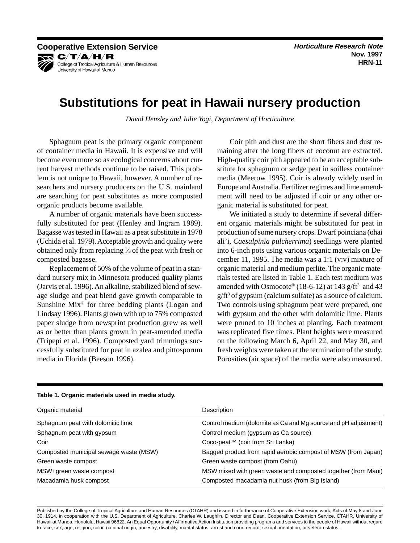**Cooperative Extension Service According to the Cooperative Research Note Cooperative Research Note** KR C/T/A/H/R College of Tropical Agriculture & Human Resources University of Hawaii at Manoa

# **Substitutions for peat in Hawaii nursery production**

*David Hensley and Julie Yogi, Department of Horticulture* 

Sphagnum peat is the primary organic component of container media in Hawaii. It is expensive and will become even more so as ecological concerns about current harvest methods continue to be raised. This problem is not unique to Hawaii, however. A number of researchers and nursery producers on the U.S. mainland are searching for peat substitutes as more composted organic products become available.

A number of organic materials have been successfully substituted for peat (Henley and Ingram 1989). Bagasse was tested in Hawaii as a peat substitute in 1978 (Uchida et al. 1979). Acceptable growth and quality were obtained only from replacing 1 ⁄3 of the peat with fresh or composted bagasse.

Replacement of 50% of the volume of peat in a standard nursery mix in Minnesota produced quality plants (Jarvis et al. 1996). An alkaline, stabilized blend of sewage sludge and peat blend gave growth comparable to Sunshine Mix® for three bedding plants (Logan and Lindsay 1996). Plants grown with up to 75% composted paper sludge from newsprint production grew as well as or better than plants grown in peat-amended media (Tripepi et al. 1996). Composted yard trimmings successfully substituted for peat in azalea and pittosporum media in Florida (Beeson 1996).

Coir pith and dust are the short fibers and dust remaining after the long fibers of coconut are extracted. High-quality coir pith appeared to be an acceptable substitute for sphagnum or sedge peat in soilless container media (Meerow 1995). Coir is already widely used in Europe and Australia. Fertilizer regimes and lime amendment will need to be adjusted if coir or any other organic material is substituted for peat.

We initiated a study to determine if several different organic materials might be substituted for peat in production of some nursery crops. Dwarf poinciana (ohai ali'i, *Caesalpinia pulcherrima*) seedlings were planted into 6-inch pots using various organic materials on December 11, 1995. The media was a 1:1 (v:v) mixture of organic material and medium perlite. The organic materials tested are listed in Table 1. Each test medium was amended with Osmocote® (18-6-12) at 143  $g/ft^3$  and 43 g/ft<sup>3</sup> of gypsum (calcium sulfate) as a source of calcium. Two controls using sphagnum peat were prepared, one with gypsum and the other with dolomitic lime. Plants were pruned to 10 inches at planting. Each treatment was replicated five times. Plant heights were measured on the following March 6, April 22, and May 30, and fresh weights were taken at the termination of the study. Porosities (air space) of the media were also measured.

| Organic material                       | Description                                                     |
|----------------------------------------|-----------------------------------------------------------------|
| Sphagnum peat with dolomitic lime      | Control medium (dolomite as Ca and Mg source and pH adjustment) |
| Sphagnum peat with gypsum              | Control medium (gypsum as Ca source)                            |
| Coir                                   | Coco-peat <sup>™</sup> (coir from Sri Lanka)                    |
| Composted municipal sewage waste (MSW) | Bagged product from rapid aerobic compost of MSW (from Japan)   |
| Green waste compost                    | Green waste compost (from Oahu)                                 |
| MSW+green waste compost                | MSW mixed with green waste and composted together (from Maui)   |
| Macadamia husk compost                 | Composted macadamia nut husk (from Big Island)                  |

### **Table 1. Organic materials used in media study.**

Published by the College of Tropical Agriculture and Human Resources (CTAHR) and issued in furtherance of Cooperative Extension work, Acts of May 8 and June 30, 1914, in cooperation with the U.S. Department of Agriculture. Charles W. Laughlin, Director and Dean, Cooperative Extension Service, CTAHR, University of Hawaii at Manoa, Honolulu, Hawaii 96822. An Equal Opportunity / Affirmative Action Institution providing programs and services to the people of Hawaii without regard to race, sex, age, religion, color, national origin, ancestry, disability, marital status, arrest and court record, sexual orientation, or veteran status.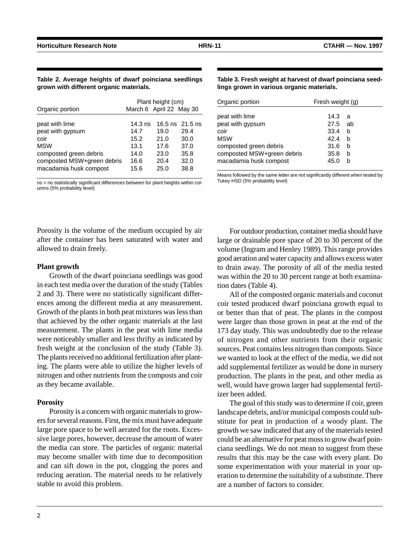|  |                                         |  |  | Table 2. Average heights of dwarf poinciana seedlings |
|--|-----------------------------------------|--|--|-------------------------------------------------------|
|  | grown with different organic materials. |  |  |                                                       |

| Organic portion            | Plant height (cm)<br>March 6 April 22 May 30 |      |                   |
|----------------------------|----------------------------------------------|------|-------------------|
| peat with lime             | $14.3$ ns                                    | 19.0 | 16.5 ns $21.5$ ns |
| peat with gypsum           | 14.7                                         |      | 29.4              |
| coir                       | 15.2                                         | 21.0 | 30.0              |
| <b>MSW</b>                 | 13.1                                         | 17.6 | 37.0              |
| composted green debris     | 14.0                                         | 23.0 | 35.8              |
| composted MSW+green debris | 16.6                                         | 20.4 | 32.0              |
| macadamia husk compost     | 15.6                                         | 25.0 | 38.8              |

ns = no statistically significant differences between for plant heights within columns (5% probability level)

Porosity is the volume of the medium occupied by air after the container has been saturated with water and allowed to drain freely.

### **Plant growth**

Growth of the dwarf poinciana seedlings was good in each test media over the duration of the study (Tables 2 and 3). There were no statistically significant differences among the different media at any measurement. Growth of the plants in both peat mixtures was less than that achieved by the other organic materials at the last measurement. The plants in the peat with lime media were noticeably smaller and less thrifty as indicated by fresh weight at the conclusion of the study (Table 3). The plants received no additional fertilization after planting. The plants were able to utilize the higher levels of nitrogen and other nutrients from the composts and coir as they became available.

### **Porosity**

Porosity is a concern with organic materials to growers for several reasons. First, the mix must have adequate large pore space to be well aerated for the roots. Excessive large pores, however, decrease the amount of water the media can store. The particles of organic material may become smaller with time due to decomposition and can sift down in the pot, clogging the pores and reducing aeration. The material needs to be relatively stable to avoid this problem.

**Table 3. Fresh weight at harvest of dwarf poinciana seedlings grown in various organic materials.** 

| Organic portion                                                                | Fresh weight (g)                |             |  |
|--------------------------------------------------------------------------------|---------------------------------|-------------|--|
| peat with lime<br>peat with gypsum<br>coir<br><b>MSW</b>                       | 14.3<br>27.5 ab<br>33.4<br>42.4 | a<br>b<br>b |  |
| composted green debris<br>composted MSW+green debris<br>macadamia husk compost | 31.6<br>35.8<br>45.0            | b<br>b<br>h |  |

Means followed by the same letter are not significantly different when tested by Tukey HSD (5% probability level)

For outdoor production, container media should have large or drainable pore space of 20 to 30 percent of the volume (Ingram and Henley 1989). This range provides good aeration and water capacity and allows excess water to drain away. The porosity of all of the media tested was within the 20 to 30 percent range at both examination dates (Table 4).

All of the composted organic materials and coconut coir tested produced dwarf poinciana growth equal to or better than that of peat. The plants in the compost were larger than those grown in peat at the end of the 173 day study. This was undoubtedly due to the release of nitrogen and other nutrients from their organic sources. Peat contains less nitrogen than composts. Since we wanted to look at the effect of the media, we did not add supplemental fertilizer as would be done in nursery production. The plants in the peat, and other media as well, would have grown larger had supplemental fertilizer been added.

The goal of this study was to determine if coir, green landscape debris, and/or municipal composts could substitute for peat in production of a woody plant. The growth we saw indicated that any of the materials tested could be an alternative for peat moss to grow dwarf poinciana seedlings. We do not mean to suggest from these results that this may be the case with every plant. Do some experimentation with your material in your operation to determine the suitability of a substitute. There are a number of factors to consider.